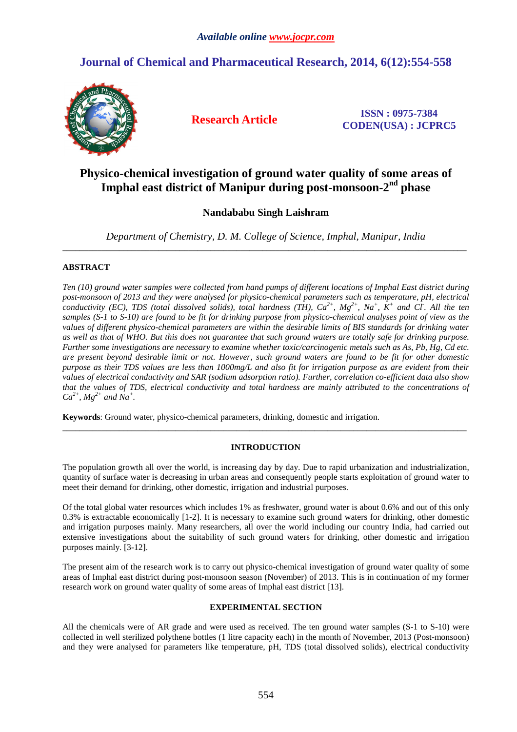# **Journal of Chemical and Pharmaceutical Research, 2014, 6(12):554-558**



**Research Article ISSN : 0975-7384 CODEN(USA) : JCPRC5**

# **Physico-chemical investigation of ground water quality of some areas of Imphal east district of Manipur during post-monsoon-2nd phase**

## **Nandababu Singh Laishram**

*Department of Chemistry, D. M. College of Science, Imphal, Manipur, India*  \_\_\_\_\_\_\_\_\_\_\_\_\_\_\_\_\_\_\_\_\_\_\_\_\_\_\_\_\_\_\_\_\_\_\_\_\_\_\_\_\_\_\_\_\_\_\_\_\_\_\_\_\_\_\_\_\_\_\_\_\_\_\_\_\_\_\_\_\_\_\_\_\_\_\_\_\_\_\_\_\_\_\_\_\_\_\_\_\_\_\_\_\_

## **ABSTRACT**

*Ten (10) ground water samples were collected from hand pumps of different locations of Imphal East district during post-monsoon of 2013 and they were analysed for physico-chemical parameters such as temperature, pH, electrical conductivity (EC), TDS (total dissolved solids), total hardness (TH), Ca2+, Mg2+, Na<sup>+</sup> , K<sup>+</sup> and Cl- . All the ten samples (S-1 to S-10) are found to be fit for drinking purpose from physico-chemical analyses point of view as the values of different physico-chemical parameters are within the desirable limits of BIS standards for drinking water as well as that of WHO. But this does not guarantee that such ground waters are totally safe for drinking purpose. Further some investigations are necessary to examine whether toxic/carcinogenic metals such as As, Pb, Hg, Cd etc. are present beyond desirable limit or not. However, such ground waters are found to be fit for other domestic purpose as their TDS values are less than 1000mg/L and also fit for irrigation purpose as are evident from their values of electrical conductivity and SAR (sodium adsorption ratio). Further, correlation co-efficient data also show that the values of TDS, electrical conductivity and total hardness are mainly attributed to the concentrations of*   $Ca^{2+}$ *, Mg*<sup>2+</sup> and Na<sup>+</sup>.

**Keywords**: Ground water, physico-chemical parameters, drinking, domestic and irrigation.

## **INTRODUCTION**

\_\_\_\_\_\_\_\_\_\_\_\_\_\_\_\_\_\_\_\_\_\_\_\_\_\_\_\_\_\_\_\_\_\_\_\_\_\_\_\_\_\_\_\_\_\_\_\_\_\_\_\_\_\_\_\_\_\_\_\_\_\_\_\_\_\_\_\_\_\_\_\_\_\_\_\_\_\_\_\_\_\_\_\_\_\_\_\_\_\_\_\_\_

The population growth all over the world, is increasing day by day. Due to rapid urbanization and industrialization, quantity of surface water is decreasing in urban areas and consequently people starts exploitation of ground water to meet their demand for drinking, other domestic, irrigation and industrial purposes.

Of the total global water resources which includes 1% as freshwater, ground water is about 0.6% and out of this only 0.3% is extractable economically [1-2]. It is necessary to examine such ground waters for drinking, other domestic and irrigation purposes mainly. Many researchers, all over the world including our country India, had carried out extensive investigations about the suitability of such ground waters for drinking, other domestic and irrigation purposes mainly. [3-12].

The present aim of the research work is to carry out physico-chemical investigation of ground water quality of some areas of Imphal east district during post-monsoon season (November) of 2013. This is in continuation of my former research work on ground water quality of some areas of Imphal east district [13].

## **EXPERIMENTAL SECTION**

All the chemicals were of AR grade and were used as received. The ten ground water samples (S-1 to S-10) were collected in well sterilized polythene bottles (1 litre capacity each) in the month of November, 2013 (Post-monsoon) and they were analysed for parameters like temperature, pH, TDS (total dissolved solids), electrical conductivity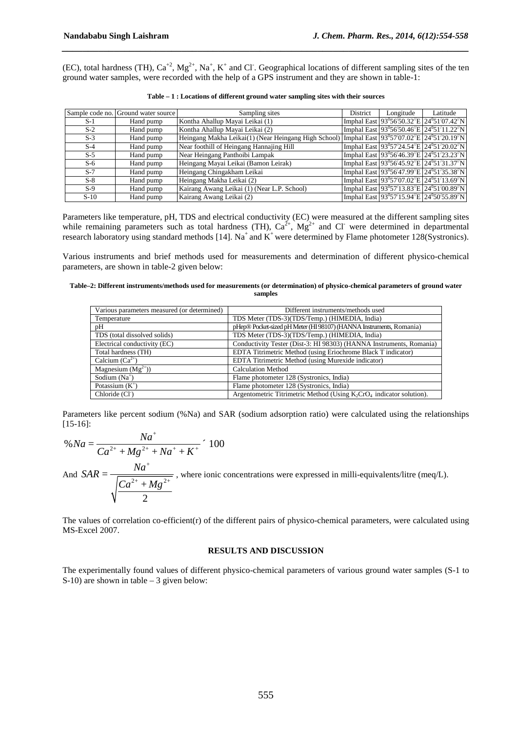(EC), total hardness (TH),  $Ca^{+2}$ ,  $Mg^{2+}$ ,  $Na^+$ ,  $K^+$  and Cl. Geographical locations of different sampling sites of the ten ground water samples, were recorded with the help of a GPS instrument and they are shown in table-1:

*\_\_\_\_\_\_\_\_\_\_\_\_\_\_\_\_\_\_\_\_\_\_\_\_\_\_\_\_\_\_\_\_\_\_\_\_\_\_\_\_\_\_\_\_\_\_\_\_\_\_\_\_\_\_\_\_\_\_\_\_\_\_\_\_\_\_\_\_\_\_\_\_\_\_\_\_\_\_*

|        | Sample code no. Ground water source | Sampling sites                                                                               | District | Longitude                                                      | Latitude                                                 |
|--------|-------------------------------------|----------------------------------------------------------------------------------------------|----------|----------------------------------------------------------------|----------------------------------------------------------|
| $S-1$  | Hand pump                           | Kontha Ahallup Mayai Leikai (1)                                                              |          | Imphal East $93^{\circ}56'50.32''E$ 24 <sup>°</sup> 51′07.42″N |                                                          |
| $S-2$  | Hand pump                           | Kontha Ahallup Mayai Leikai (2)                                                              |          | Imphal East 93°56′50.46″E 24°51′11.22″N                        |                                                          |
| $S-3$  | Hand pump                           | Heingang Makha Leikai(1) (Near Heingang High School) Imphal East 93°57′07.02″E 24°51′20.19″N |          |                                                                |                                                          |
| $S-4$  | Hand pump                           | Near foothill of Heingang Hannajing Hill                                                     |          |                                                                | Imphal East 93°57′24.54″E 24°51′20.02″N                  |
| $S-5$  | Hand pump                           | Near Heingang Panthoibi Lampak                                                               |          | Imphal East $93^{\circ}56'46.39''E$ 24 <sup>°</sup> 51′23.23″N |                                                          |
| $S-6$  | Hand pump                           | Heingang Mayai Leikai (Bamon Leirak)                                                         |          | Imphal East 93°56′45.92″E 24°51′31.37″N                        |                                                          |
| $S-7$  | Hand pump                           | Heingang Chingakham Leikai                                                                   |          | Imphal East 93°56′47.99″E 24°51′35.38″N                        |                                                          |
| $S-8$  | Hand pump                           | Heingang Makha Leikai (2)                                                                    |          |                                                                | Imphal East 93°57′07.02″E 24°51′13.69″N                  |
| $S-9$  | Hand pump                           | Kairang Awang Leikai (1) (Near L.P. School)                                                  |          |                                                                | Imphal East $93^057'13.83''E$ 24 <sup>0</sup> 51′00.89″N |
| $S-10$ | Hand pump                           | Kairang Awang Leikai (2)                                                                     |          |                                                                | Imphal East 93°57'15.94"E 24°50'55.89"N                  |

|  | Table $-1$ : Locations of different ground water sampling sites with their sources |
|--|------------------------------------------------------------------------------------|
|--|------------------------------------------------------------------------------------|

Parameters like temperature, pH, TDS and electrical conductivity (EC) were measured at the different sampling sites while remaining parameters such as total hardness (TH),  $Ca^{2+}$ ,  $Mg^{2+}$  and Cl were determined in departmental research laboratory using standard methods [14]. Na<sup>+</sup> and K<sup>+</sup> were determined by Flame photometer 128(Systronics).

Various instruments and brief methods used for measurements and determination of different physico-chemical parameters, are shown in table-2 given below:

**Table–2: Different instruments/methods used for measurements (or determination) of physico-chemical parameters of ground water samples** 

| Various parameters measured (or determined) | Different instruments/methods used                                      |  |  |  |  |
|---------------------------------------------|-------------------------------------------------------------------------|--|--|--|--|
| Temperature                                 | TDS Meter (TDS-3)(TDS/Temp.) (HIMEDIA, India)                           |  |  |  |  |
| pH                                          | pHep® Pocket-sized pH Meter (HI 98107) (HANNA Instruments, Romania)     |  |  |  |  |
| TDS (total dissolved solids)                | TDS Meter (TDS-3)(TDS/Temp.) (HIMEDIA, India)                           |  |  |  |  |
| Electrical conductivity (EC)                | Conductivity Tester (Dist-3: HI 98303) (HANNA Instruments, Romania)     |  |  |  |  |
| Total hardness (TH)                         | EDTA Titrimetric Method (using Eriochrome Black T indicator)            |  |  |  |  |
| Calcium $(Ca^{2+})$                         | EDTA Titrimetric Method (using Murexide indicator)                      |  |  |  |  |
| Magnesium $(Mg^{2+})$ )                     | <b>Calculation Method</b>                                               |  |  |  |  |
| Sodium $(Na^+)$                             | Flame photometer 128 (Systronics, India)                                |  |  |  |  |
| Potassium $(K^+)$                           | Flame photometer 128 (Systronics, India)                                |  |  |  |  |
| Chloride (Cl <sup>-</sup> )                 | Argentometric Titrimetric Method (Using $K_2CrO_4$ indicator solution). |  |  |  |  |

Parameters like percent sodium (%Na) and SAR (sodium adsorption ratio) were calculated using the relationships [15-16]:

% 
$$
Na = \frac{Na^{+}}{Ca^{2+} + Mg^{2+} + Na^{+} + K^{+}} \cdot 100
$$

And  $SAR = \frac{1}{\sqrt{Ca^{2+}+Me^{2}}}$ 2  $SAR = \frac{Na}{\sqrt{1 - \frac{3}{2}}}$  $Ca^{2+} + Mg$ +  $=\frac{4\pi a^{2}+4A\sigma^{2}+4A\sigma^{2}+4A\sigma^{2}+4A\sigma^{2}+4A\sigma^{2}+4A\sigma^{2}+4A\sigma^{2}+4A\sigma^{2}+4A\sigma^{2}+4A\sigma^{2}+4A\sigma^{2}+4A\sigma^{2}+4A\sigma^{2}+4A\sigma^{2}+4A\sigma^{2}+4A\sigma^{2}+4A\sigma^{2}+4A\sigma^{2}+4A\sigma^{2}+4A\sigma^{2}+4A\sigma^{2}+4A\sigma^{2}+4A\sigma^{2}+4A\sigma^{2}+4A\sigma^{2}+4A\sigma^{2}+4$ + , where ionic concentrations were expressed in milli-equivalents/litre (meq/L).

The values of correlation co-efficient(r) of the different pairs of physico-chemical parameters, were calculated using MS-Excel 2007.

#### **RESULTS AND DISCUSSION**

The experimentally found values of different physico-chemical parameters of various ground water samples (S-1 to S-10) are shown in table – 3 given below: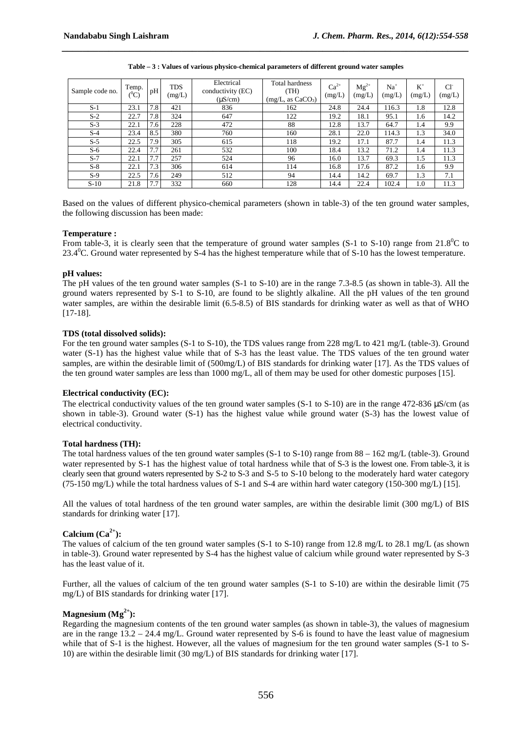| Sample code no. | Temp.<br>$(^0\mathrm{C})$ | pH  | <b>TDS</b><br>(mg/L) | Electrical<br>conductivity (EC)<br>(LS/cm) | Total hardness<br>(TH)<br>(mg/L, as CaCO <sub>3</sub> ) | $Ca^{2+}$<br>(mg/L) | $Mg^{2+}$<br>(mg/L) | Na <sup>+</sup><br>(mg/L) | $K^+$<br>(mg/L) | CI<br>(mg/L) |
|-----------------|---------------------------|-----|----------------------|--------------------------------------------|---------------------------------------------------------|---------------------|---------------------|---------------------------|-----------------|--------------|
| $S-1$           | 23.1                      | 7.8 | 421                  | 836                                        | 24.8<br>162                                             |                     | 24.4                | 116.3                     | 1.8             | 12.8         |
| $S-2$           | 22.7                      | 7.8 | 324                  | 647                                        | 122<br>19.2                                             |                     | 18.1                | 95.1                      | 1.6             | 14.2         |
| $S-3$           | 22.1                      | 7.6 | 228                  | 472                                        | 88                                                      | 12.8                | 13.7                | 64.7                      | 1.4             | 9.9          |
| $S-4$           | 23.4                      | 8.5 | 380                  | 760                                        | 160                                                     | 28.1                | 22.0                | 114.3                     | 1.3             | 34.0         |
| $S-5$           | 22.5                      | 7.9 | 305                  | 615                                        | 118                                                     | 19.2                | 17.1                | 87.7                      | 1.4             | 11.3         |
| $S-6$           | 22.4                      | 7.7 | 261                  | 532                                        | 100                                                     | 18.4                | 13.2                | 71.2                      | 1.4             | 11.3         |
| $S-7$           | 22.1                      | 7.7 | 257                  | 524                                        | 96                                                      | 16.0                | 13.7                | 69.3                      | 1.5             | 11.3         |
| $S-8$           | 22.1                      | 7.3 | 306                  | 614                                        | 114                                                     | 16.8                | 17.6                | 87.2                      | 1.6             | 9.9          |
| $S-9$           | 22.5                      | 7.6 | 249                  | 512                                        | 94                                                      | 14.4                | 14.2                | 69.7                      | 1.3             | 7.1          |
| $S-10$          | 21.8                      | 7.7 | 332                  | 660                                        | 128                                                     | 14.4                | 22.4                | 102.4                     | 1.0             | 11.3         |

**Table – 3 : Values of various physico-chemical parameters of different ground water samples** 

*\_\_\_\_\_\_\_\_\_\_\_\_\_\_\_\_\_\_\_\_\_\_\_\_\_\_\_\_\_\_\_\_\_\_\_\_\_\_\_\_\_\_\_\_\_\_\_\_\_\_\_\_\_\_\_\_\_\_\_\_\_\_\_\_\_\_\_\_\_\_\_\_\_\_\_\_\_\_*

Based on the values of different physico-chemical parameters (shown in table-3) of the ten ground water samples, the following discussion has been made:

#### **Temperature :**

From table-3, it is clearly seen that the temperature of ground water samples (S-1 to S-10) range from  $21.8^{\circ}$ C to 23.4<sup>0</sup>C. Ground water represented by S-4 has the highest temperature while that of S-10 has the lowest temperature.

#### **pH values:**

The pH values of the ten ground water samples (S-1 to S-10) are in the range 7.3-8.5 (as shown in table-3). All the ground waters represented by S-1 to S-10, are found to be slightly alkaline. All the pH values of the ten ground water samples, are within the desirable limit (6.5-8.5) of BIS standards for drinking water as well as that of WHO [17-18].

#### **TDS (total dissolved solids):**

For the ten ground water samples (S-1 to S-10), the TDS values range from 228 mg/L to 421 mg/L (table-3). Ground water (S-1) has the highest value while that of S-3 has the least value. The TDS values of the ten ground water samples, are within the desirable limit of (500mg/L) of BIS standards for drinking water [17]. As the TDS values of the ten ground water samples are less than 1000 mg/L, all of them may be used for other domestic purposes [15].

#### **Electrical conductivity (EC):**

The electrical conductivity values of the ten ground water samples (S-1 to S-10) are in the range 472-836  $\mu$ S/cm (as shown in table-3). Ground water (S-1) has the highest value while ground water (S-3) has the lowest value of electrical conductivity.

#### **Total hardness (TH):**

The total hardness values of the ten ground water samples (S-1 to S-10) range from  $88 - 162$  mg/L (table-3). Ground water represented by S-1 has the highest value of total hardness while that of S-3 is the lowest one. From table-3, it is clearly seen that ground waters represented by S-2 to S-3 and S-5 to S-10 belong to the moderately hard water category (75-150 mg/L) while the total hardness values of S-1 and S-4 are within hard water category (150-300 mg/L) [15].

All the values of total hardness of the ten ground water samples, are within the desirable limit (300 mg/L) of BIS standards for drinking water [17].

#### **Calcium**  $(Ca^{2+})$ :

The values of calcium of the ten ground water samples (S-1 to S-10) range from 12.8 mg/L to 28.1 mg/L (as shown in table-3). Ground water represented by S-4 has the highest value of calcium while ground water represented by S-3 has the least value of it.

Further, all the values of calcium of the ten ground water samples (S-1 to S-10) are within the desirable limit (75 mg/L) of BIS standards for drinking water [17].

## **Magnesium**  $(Mg^{2+})$ :

Regarding the magnesium contents of the ten ground water samples (as shown in table-3), the values of magnesium are in the range  $13.2 - 24.4$  mg/L. Ground water represented by S-6 is found to have the least value of magnesium while that of S-1 is the highest. However, all the values of magnesium for the ten ground water samples (S-1 to S-10) are within the desirable limit (30 mg/L) of BIS standards for drinking water [17].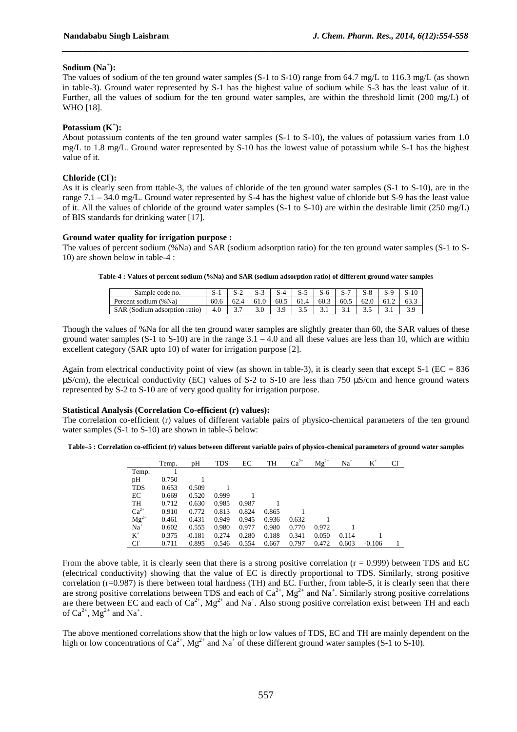### **Sodium (Na<sup>+</sup> ):**

The values of sodium of the ten ground water samples (S-1 to S-10) range from 64.7 mg/L to 116.3 mg/L (as shown in table-3). Ground water represented by S-1 has the highest value of sodium while S-3 has the least value of it. Further, all the values of sodium for the ten ground water samples, are within the threshold limit (200 mg/L) of WHO [18].

*\_\_\_\_\_\_\_\_\_\_\_\_\_\_\_\_\_\_\_\_\_\_\_\_\_\_\_\_\_\_\_\_\_\_\_\_\_\_\_\_\_\_\_\_\_\_\_\_\_\_\_\_\_\_\_\_\_\_\_\_\_\_\_\_\_\_\_\_\_\_\_\_\_\_\_\_\_\_*

### **Potassium (K<sup>+</sup> ):**

About potassium contents of the ten ground water samples (S-1 to S-10), the values of potassium varies from 1.0 mg/L to 1.8 mg/L. Ground water represented by S-10 has the lowest value of potassium while S-1 has the highest value of it.

### **Chloride (Cl- ):**

As it is clearly seen from ttable-3, the values of chloride of the ten ground water samples (S-1 to S-10), are in the range  $7.1 - 34.0$  mg/L. Ground water represented by S-4 has the highest value of chloride but S-9 has the least value of it. All the values of chloride of the ground water samples (S-1 to S-10) are within the desirable limit (250 mg/L) of BIS standards for drinking water [17].

#### **Ground water quality for irrigation purpose :**

The values of percent sodium (%Na) and SAR (sodium adsorption ratio) for the ten ground water samples (S-1 to S-10) are shown below in table-4 :

**Table-4 : Values of percent sodium (%Na) and SAR (sodium adsorption ratio) of different ground water samples** 

| Sample code no.               |                 |                    |          |        |      |      |    |   | 10   |
|-------------------------------|-----------------|--------------------|----------|--------|------|------|----|---|------|
| Percent sodium (%Na)          | 60.6            |                    | 60.5     | 61.4   | 60.3 | 60.5 | ر  |   | 63.3 |
| <b>SAR</b><br>isorption ratio | $\Omega$<br>T.U | $\sim$<br>-<br>J., | <u>.</u> | -<br>້ | .    |      | ັ້ | . |      |

Though the values of %Na for all the ten ground water samples are slightly greater than 60, the SAR values of these ground water samples  $(S-1$  to  $S-10$ ) are in the range  $3.1 - 4.0$  and all these values are less than 10, which are within excellent category (SAR upto 10) of water for irrigation purpose [2].

Again from electrical conductivity point of view (as shown in table-3), it is clearly seen that except S-1 ( $EC = 836$ ) µS/cm), the electrical conductivity (EC) values of S-2 to S-10 are less than 750 µS/cm and hence ground waters represented by S-2 to S-10 are of very good quality for irrigation purpose.

#### **Statistical Analysis (Correlation Co-efficient (r) values):**

The correlation co-efficient (r) values of different variable pairs of physico-chemical parameters of the ten ground water samples (S-1 to S-10) are shown in table-5 below:

**Table–5 : Correlation co-efficient (r) values between different variable pairs of physico-chemical parameters of ground water samples** 

|                 | Temp. | pH       | <b>TDS</b> | EC    | TH    | $Ca^{2+}$ | $Mg^{2+}$ | $Na+$ | $K^+$    | Сľ |
|-----------------|-------|----------|------------|-------|-------|-----------|-----------|-------|----------|----|
| Temp.           |       |          |            |       |       |           |           |       |          |    |
| pH              | 0.750 |          |            |       |       |           |           |       |          |    |
| <b>TDS</b>      | 0.653 | 0.509    |            |       |       |           |           |       |          |    |
| EC              | 0.669 | 0.520    | 0.999      |       |       |           |           |       |          |    |
| <b>TH</b>       | 0.712 | 0.630    | 0.985      | 0.987 |       |           |           |       |          |    |
| $Ca2+$          | 0.910 | 0.772    | 0.813      | 0.824 | 0.865 |           |           |       |          |    |
| $Mg^{2+}$       | 0.461 | 0.431    | 0.949      | 0.945 | 0.936 | 0.632     |           |       |          |    |
| $Na+$           | 0.602 | 0.555    | 0.980      | 0.977 | 0.980 | 0.770     | 0.972     |       |          |    |
| $K^+$           | 0.375 | $-0.181$ | 0.274      | 0.280 | 0.188 | 0.341     | 0.050     | 0.114 |          |    |
| Cl <sup>-</sup> | 0.711 | 0.895    | 0.546      | 0.554 | 0.667 | 0.797     | 0.472     | 0.603 | $-0.106$ |    |

From the above table, it is clearly seen that there is a strong positive correlation  $(r = 0.999)$  between TDS and EC (electrical conductivity) showing that the value of EC is directly proportional to TDS. Similarly, strong positive correlation (r=0.987) is there between total hardness (TH) and EC. Further, from table-5, it is clearly seen that there are strong positive correlations between TDS and each of  $Ca^{2+}$ ,  $Mg^{2+}$  and  $Na^{+}$ . Similarly strong positive correlations are there between EC and each of  $Ca^{2+}$ , Mg<sup>2+</sup> and Na<sup>+</sup>. Also strong positive correlation exist between TH and each of  $Ca^{2+}$ ,  $Mg^{2+}$  and Na<sup>+</sup>.

The above mentioned correlations show that the high or low values of TDS, EC and TH are mainly dependent on the high or low concentrations of  $Ca^{2+}$ ,  $Mg^{2+}$  and  $Na^{+}$  of these different ground water samples (S-1 to S-10).